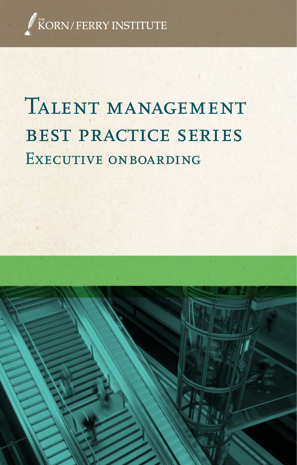

# TALENT MANAGEMENT best practice series EXECUTIVE ONBOARDING

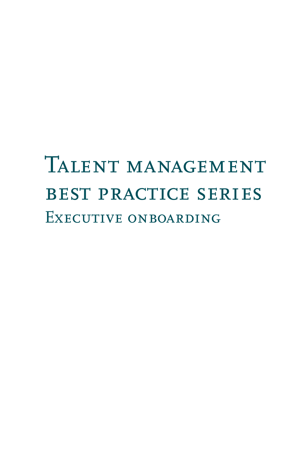# TALENT MANAGEMENT best practice series Executive onboarding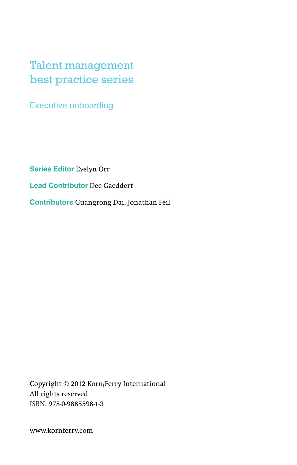### Talent management best practice series

Executive onboarding

**Series Editor** Evelyn Orr

**Lead Contributor** Dee Gaeddert

**Contributors** Guangrong Dai, Jonathan Feil

Copyright © 2012 Korn/Ferry International All rights reserved ISBN: 978-0-9885598-1-3

www.kornferry.com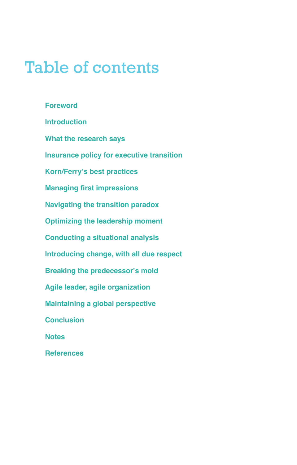### Table of contents

**Foreword Introduction What the research says Insurance policy for executive transition Korn/Ferry's best practices Managing first impressions Navigating the transition paradox Optimizing the leadership moment Conducting a situational analysis Introducing change, with all due respect Breaking the predecessor's mold Agile leader, agile organization Maintaining a global perspective Conclusion Notes References**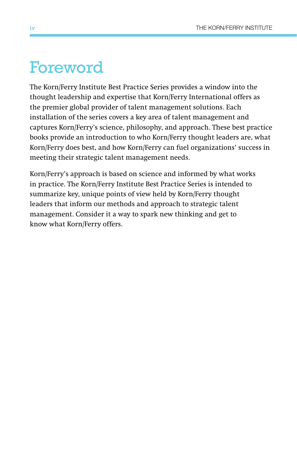### Foreword

The Korn/Ferry Institute Best Practice Series provides a window into the thought leadership and expertise that Korn/Ferry International offers as the premier global provider of talent management solutions. Each installation of the series covers a key area of talent management and captures Korn/Ferry's science, philosophy, and approach. These best practice books provide an introduction to who Korn/Ferry thought leaders are, what Korn/Ferry does best, and how Korn/Ferry can fuel organizations' success in meeting their strategic talent management needs.

Korn/Ferry's approach is based on science and informed by what works in practice. The Korn/Ferry Institute Best Practice Series is intended to summarize key, unique points of view held by Korn/Ferry thought leaders that inform our methods and approach to strategic talent management. Consider it a way to spark new thinking and get to know what Korn/Ferry offers.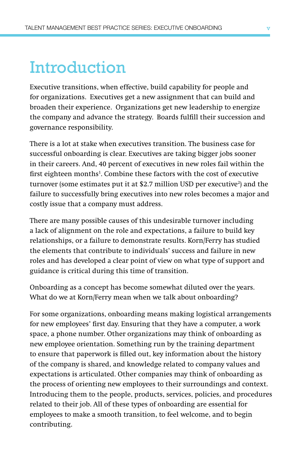### Introduction

Executive transitions, when effective, build capability for people and for organizations. Executives get a new assignment that can build and broaden their experience. Organizations get new leadership to energize the company and advance the strategy. Boards fulfill their succession and governance responsibility.

There is a lot at stake when executives transition. The business case for successful onboarding is clear. Executives are taking bigger jobs sooner in their careers. And, 40 percent of executives in new roles fail within the first eighteen months<sup>1</sup>. Combine these factors with the cost of executive turnover (some estimates put it at \$2.7 million USD per executive<sup>2</sup>) and the failure to successfully bring executives into new roles becomes a major and costly issue that a company must address.

There are many possible causes of this undesirable turnover including a lack of alignment on the role and expectations, a failure to build key relationships, or a failure to demonstrate results. Korn/Ferry has studied the elements that contribute to individuals' success and failure in new roles and has developed a clear point of view on what type of support and guidance is critical during this time of transition.

Onboarding as a concept has become somewhat diluted over the years. What do we at Korn/Ferry mean when we talk about onboarding?

For some organizations, onboarding means making logistical arrangements for new employees' first day. Ensuring that they have a computer, a work space, a phone number. Other organizations may think of onboarding as new employee orientation. Something run by the training department to ensure that paperwork is filled out, key information about the history of the company is shared, and knowledge related to company values and expectations is articulated. Other companies may think of onboarding as the process of orienting new employees to their surroundings and context. Introducing them to the people, products, services, policies, and procedures related to their job. All of these types of onboarding are essential for employees to make a smooth transition, to feel welcome, and to begin contributing.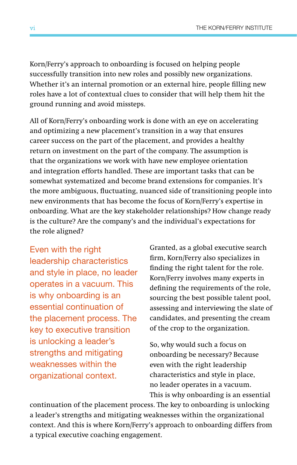Korn/Ferry's approach to onboarding is focused on helping people successfully transition into new roles and possibly new organizations. Whether it's an internal promotion or an external hire, people filling new roles have a lot of contextual clues to consider that will help them hit the ground running and avoid missteps.

All of Korn/Ferry's onboarding work is done with an eye on accelerating and optimizing a new placement's transition in a way that ensures career success on the part of the placement, and provides a healthy return on investment on the part of the company. The assumption is that the organizations we work with have new employee orientation and integration efforts handled. These are important tasks that can be somewhat systematized and become brand extensions for companies. It's the more ambiguous, fluctuating, nuanced side of transitioning people into new environments that has become the focus of Korn/Ferry's expertise in onboarding. What are the key stakeholder relationships? How change ready is the culture? Are the company's and the individual's expectations for the role aligned?

Even with the right leadership characteristics and style in place, no leader operates in a vacuum. This is why onboarding is an essential continuation of the placement process. The key to executive transition is unlocking a leader's strengths and mitigating weaknesses within the organizational context.

Granted, as a global executive search firm, Korn/Ferry also specializes in finding the right talent for the role. Korn/Ferry involves many experts in defining the requirements of the role, sourcing the best possible talent pool, assessing and interviewing the slate of candidates, and presenting the cream of the crop to the organization.

So, why would such a focus on onboarding be necessary? Because even with the right leadership characteristics and style in place, no leader operates in a vacuum. This is why onboarding is an essential

continuation of the placement process. The key to onboarding is unlocking a leader's strengths and mitigating weaknesses within the organizational context. And this is where Korn/Ferry's approach to onboarding differs from a typical executive coaching engagement.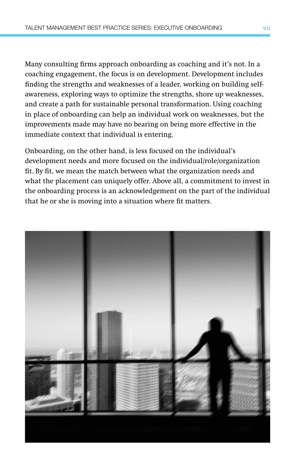Many consulting firms approach onboarding as coaching and it's not. In a coaching engagement, the focus is on development. Development includes finding the strengths and weaknesses of a leader, working on building selfawareness, exploring ways to optimize the strengths, shore up weaknesses, and create a path for sustainable personal transformation. Using coaching in place of onboarding can help an individual work on weaknesses, but the improvements made may have no bearing on being more effective in the immediate context that individual is entering.

Onboarding, on the other hand, is less focused on the individual's development needs and more focused on the individual/role/organization fit. By fit, we mean the match between what the organization needs and what the placement can uniquely offer. Above all, a commitment to invest in the onboarding process is an acknowledgement on the part of the individual that he or she is moving into a situation where fit matters.

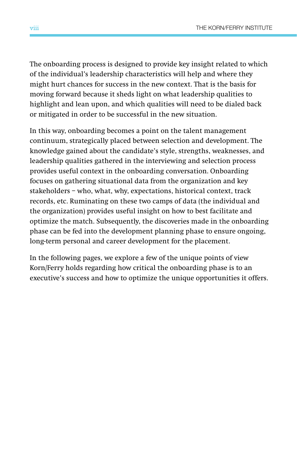The onboarding process is designed to provide key insight related to which of the individual's leadership characteristics will help and where they might hurt chances for success in the new context. That is the basis for moving forward because it sheds light on what leadership qualities to highlight and lean upon, and which qualities will need to be dialed back or mitigated in order to be successful in the new situation.

In this way, onboarding becomes a point on the talent management continuum, strategically placed between selection and development. The knowledge gained about the candidate's style, strengths, weaknesses, and leadership qualities gathered in the interviewing and selection process provides useful context in the onboarding conversation. Onboarding focuses on gathering situational data from the organization and key stakeholders – who, what, why, expectations, historical context, track records, etc. Ruminating on these two camps of data (the individual and the organization) provides useful insight on how to best facilitate and optimize the match. Subsequently, the discoveries made in the onboarding phase can be fed into the development planning phase to ensure ongoing, long-term personal and career development for the placement.

In the following pages, we explore a few of the unique points of view Korn/Ferry holds regarding how critical the onboarding phase is to an executive's success and how to optimize the unique opportunities it offers.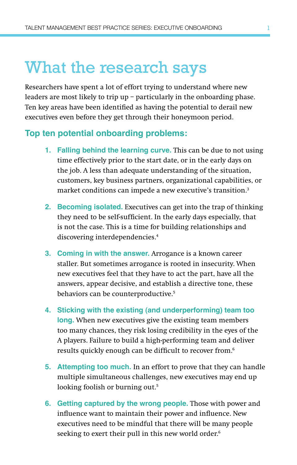### What the research says

Researchers have spent a lot of effort trying to understand where new leaders are most likely to trip up – particularly in the onboarding phase. Ten key areas have been identified as having the potential to derail new executives even before they get through their honeymoon period.

#### **Top ten potential onboarding problems:**

- **1. Falling behind the learning curve.** This can be due to not using time effectively prior to the start date, or in the early days on the job. A less than adequate understanding of the situation, customers, key business partners, organizational capabilities, or market conditions can impede a new executive's transition.3
- **2. Becoming isolated.** Executives can get into the trap of thinking they need to be self-sufficient. In the early days especially, that is not the case. This is a time for building relationships and discovering interdependencies.<sup>4</sup>
- **3. Coming in with the answer.** Arrogance is a known career staller. But sometimes arrogance is rooted in insecurity. When new executives feel that they have to act the part, have all the answers, appear decisive, and establish a directive tone, these behaviors can be counterproductive.<sup>5</sup>
- **4. Sticking with the existing (and underperforming) team too long.** When new executives give the existing team members too many chances, they risk losing credibility in the eyes of the A players. Failure to build a high-performing team and deliver results quickly enough can be difficult to recover from.<sup>6</sup>
- **5. Attempting too much.** In an effort to prove that they can handle multiple simultaneous challenges, new executives may end up looking foolish or burning out.<sup>5</sup>
- **6. Getting captured by the wrong people.** Those with power and influence want to maintain their power and influence. New executives need to be mindful that there will be many people seeking to exert their pull in this new world order.<sup>6</sup>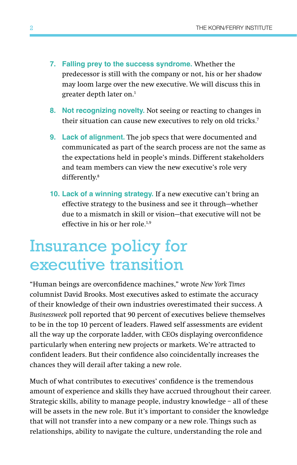- **7. Falling prey to the success syndrome.** Whether the predecessor is still with the company or not, his or her shadow may loom large over the new executive. We will discuss this in greater depth later on.1
- **8. Not recognizing novelty.** Not seeing or reacting to changes in their situation can cause new executives to rely on old tricks.7
- **9. Lack of alignment.** The job specs that were documented and communicated as part of the search process are not the same as the expectations held in people's minds. Different stakeholders and team members can view the new executive's role very differently.8
- **10. Lack of a winning strategy.** If a new executive can't bring an effective strategy to the business and see it through—whether due to a mismatch in skill or vision—that executive will not be effective in his or her role.<sup>1,9</sup>

### Insurance policy for executive transition

"Human beings are overconfidence machines," wrote *New York Times* columnist David Brooks. Most executives asked to estimate the accuracy of their knowledge of their own industries overestimated their success. A *Businessweek* poll reported that 90 percent of executives believe themselves to be in the top 10 percent of leaders. Flawed self assessments are evident all the way up the corporate ladder, with CEOs displaying overconfidence particularly when entering new projects or markets. We're attracted to confident leaders. But their confidence also coincidentally increases the chances they will derail after taking a new role.

Much of what contributes to executives' confidence is the tremendous amount of experience and skills they have accrued throughout their career. Strategic skills, ability to manage people, industry knowledge – all of these will be assets in the new role. But it's important to consider the knowledge that will not transfer into a new company or a new role. Things such as relationships, ability to navigate the culture, understanding the role and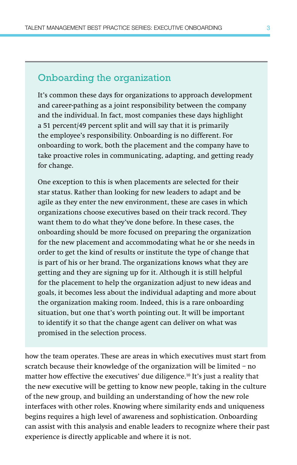#### Onboarding the organization

It's common these days for organizations to approach development and career-pathing as a joint responsibility between the company and the individual. In fact, most companies these days highlight a 51 percent/49 percent split and will say that it is primarily the employee's responsibility. Onboarding is no different. For onboarding to work, both the placement and the company have to take proactive roles in communicating, adapting, and getting ready for change.

One exception to this is when placements are selected for their star status. Rather than looking for new leaders to adapt and be agile as they enter the new environment, these are cases in which organizations choose executives based on their track record. They want them to do what they've done before. In these cases, the onboarding should be more focused on preparing the organization for the new placement and accommodating what he or she needs in order to get the kind of results or institute the type of change that is part of his or her brand. The organizations knows what they are getting and they are signing up for it. Although it is still helpful for the placement to help the organization adjust to new ideas and goals, it becomes less about the individual adapting and more about the organization making room. Indeed, this is a rare onboarding situation, but one that's worth pointing out. It will be important to identify it so that the change agent can deliver on what was promised in the selection process.

how the team operates. These are areas in which executives must start from scratch because their knowledge of the organization will be limited – no matter how effective the executives' due diligence.10 It's just a reality that the new executive will be getting to know new people, taking in the culture of the new group, and building an understanding of how the new role interfaces with other roles. Knowing where similarity ends and uniqueness begins requires a high level of awareness and sophistication. Onboarding can assist with this analysis and enable leaders to recognize where their past experience is directly applicable and where it is not.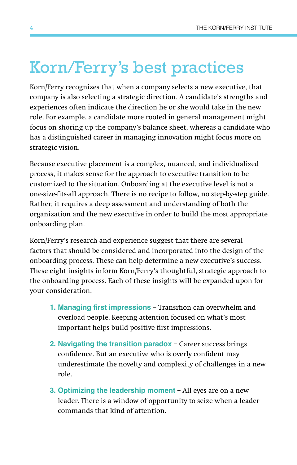### Korn/Ferry's best practices

Korn/Ferry recognizes that when a company selects a new executive, that company is also selecting a strategic direction. A candidate's strengths and experiences often indicate the direction he or she would take in the new role. For example, a candidate more rooted in general management might focus on shoring up the company's balance sheet, whereas a candidate who has a distinguished career in managing innovation might focus more on strategic vision.

Because executive placement is a complex, nuanced, and individualized process, it makes sense for the approach to executive transition to be customized to the situation. Onboarding at the executive level is not a one-size-fits-all approach. There is no recipe to follow, no step-by-step guide. Rather, it requires a deep assessment and understanding of both the organization and the new executive in order to build the most appropriate onboarding plan.

Korn/Ferry's research and experience suggest that there are several factors that should be considered and incorporated into the design of the onboarding process. These can help determine a new executive's success. These eight insights inform Korn/Ferry's thoughtful, strategic approach to the onboarding process. Each of these insights will be expanded upon for your consideration.

- **1. Managing first impressions** Transition can overwhelm and overload people. Keeping attention focused on what's most important helps build positive first impressions.
- **2. Navigating the transition paradox**  Career success brings confidence. But an executive who is overly confident may underestimate the novelty and complexity of challenges in a new role.
- **3. Optimizing the leadership moment** All eyes are on a new leader. There is a window of opportunity to seize when a leader commands that kind of attention.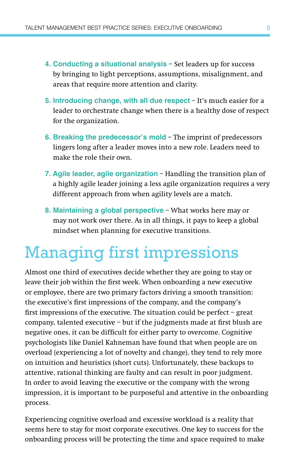- **4. Conducting a situational analysis** Set leaders up for success by bringing to light perceptions, assumptions, misalignment, and areas that require more attention and clarity.
- **5. Introducing change, with all due respect** It's much easier for a leader to orchestrate change when there is a healthy dose of respect for the organization.
- **6. Breaking the predecessor's mold** The imprint of predecessors lingers long after a leader moves into a new role. Leaders need to make the role their own.
- **7. Agile leader, agile organization** Handling the transition plan of a highly agile leader joining a less agile organization requires a very different approach from when agility levels are a match.
- **8. Maintaining a global perspective** What works here may or may not work over there. As in all things, it pays to keep a global mindset when planning for executive transitions.

## Managing first impressions

Almost one third of executives decide whether they are going to stay or leave their job within the first week. When onboarding a new executive or employee, there are two primary factors driving a smooth transition: the executive's first impressions of the company, and the company's first impressions of the executive. The situation could be perfect – great company, talented executive – but if the judgments made at first blush are negative ones, it can be difficult for either party to overcome. Cognitive psychologists like Daniel Kahneman have found that when people are on overload (experiencing a lot of novelty and change), they tend to rely more on intuition and heuristics (short cuts). Unfortunately, these backups to attentive, rational thinking are faulty and can result in poor judgment. In order to avoid leaving the executive or the company with the wrong impression, it is important to be purposeful and attentive in the onboarding process.

Experiencing cognitive overload and excessive workload is a reality that seems here to stay for most corporate executives. One key to success for the onboarding process will be protecting the time and space required to make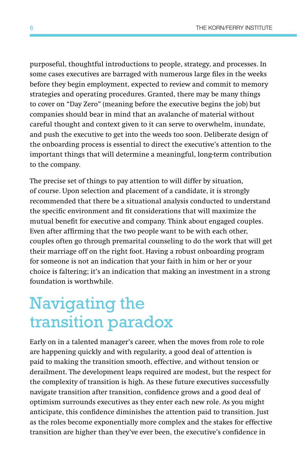purposeful, thoughtful introductions to people, strategy, and processes. In some cases executives are barraged with numerous large files in the weeks before they begin employment, expected to review and commit to memory strategies and operating procedures. Granted, there may be many things to cover on "Day Zero" (meaning before the executive begins the job) but companies should bear in mind that an avalanche of material without careful thought and context given to it can serve to overwhelm, inundate, and push the executive to get into the weeds too soon. Deliberate design of the onboarding process is essential to direct the executive's attention to the important things that will determine a meaningful, long-term contribution to the company.

The precise set of things to pay attention to will differ by situation, of course. Upon selection and placement of a candidate, it is strongly recommended that there be a situational analysis conducted to understand the specific environment and fit considerations that will maximize the mutual benefit for executive and company. Think about engaged couples. Even after affirming that the two people want to be with each other, couples often go through premarital counseling to do the work that will get their marriage off on the right foot. Having a robust onboarding program for someone is not an indication that your faith in him or her or your choice is faltering; it's an indication that making an investment in a strong foundation is worthwhile.

# Navigating the transition paradox

Early on in a talented manager's career, when the moves from role to role are happening quickly and with regularity, a good deal of attention is paid to making the transition smooth, effective, and without tension or derailment. The development leaps required are modest, but the respect for the complexity of transition is high. As these future executives successfully navigate transition after transition, confidence grows and a good deal of optimism surrounds executives as they enter each new role. As you might anticipate, this confidence diminishes the attention paid to transition. Just as the roles become exponentially more complex and the stakes for effective transition are higher than they've ever been, the executive's confidence in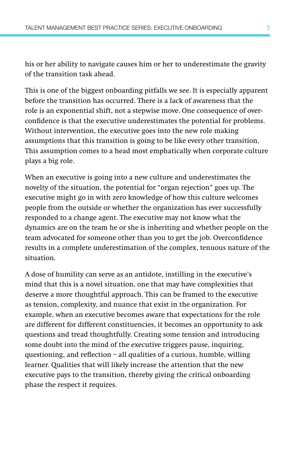his or her ability to navigate causes him or her to underestimate the gravity of the transition task ahead.

This is one of the biggest onboarding pitfalls we see. It is especially apparent before the transition has occurred. There is a lack of awareness that the role is an exponential shift, not a stepwise move. One consequence of overconfidence is that the executive underestimates the potential for problems. Without intervention, the executive goes into the new role making assumptions that this transition is going to be like every other transition. This assumption comes to a head most emphatically when corporate culture plays a big role.

When an executive is going into a new culture and underestimates the novelty of the situation, the potential for "organ rejection" goes up. The executive might go in with zero knowledge of how this culture welcomes people from the outside or whether the organization has ever successfully responded to a change agent. The executive may not know what the dynamics are on the team he or she is inheriting and whether people on the team advocated for someone other than you to get the job. Overconfidence results in a complete underestimation of the complex, tenuous nature of the situation.

A dose of humility can serve as an antidote, instilling in the executive's mind that this is a novel situation, one that may have complexities that deserve a more thoughtful approach. This can be framed to the executive as tension, complexity, and nuance that exist in the organization. For example, when an executive becomes aware that expectations for the role are different for different constituencies, it becomes an opportunity to ask questions and tread thoughtfully. Creating some tension and introducing some doubt into the mind of the executive triggers pause, inquiring, questioning, and reflection – all qualities of a curious, humble, willing learner. Qualities that will likely increase the attention that the new executive pays to the transition, thereby giving the critical onboarding phase the respect it requires.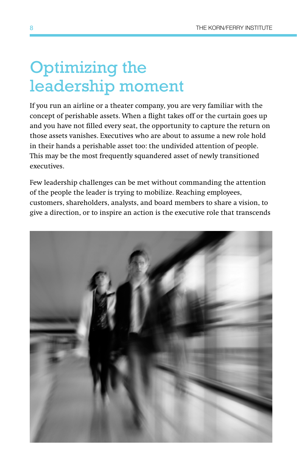## Optimizing the leadership moment

If you run an airline or a theater company, you are very familiar with the concept of perishable assets. When a flight takes off or the curtain goes up and you have not filled every seat, the opportunity to capture the return on those assets vanishes. Executives who are about to assume a new role hold in their hands a perishable asset too: the undivided attention of people. This may be the most frequently squandered asset of newly transitioned executives.

Few leadership challenges can be met without commanding the attention of the people the leader is trying to mobilize. Reaching employees, customers, shareholders, analysts, and board members to share a vision, to give a direction, or to inspire an action is the executive role that transcends

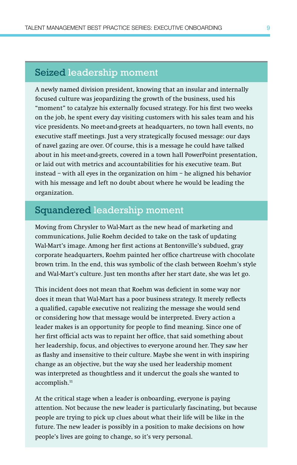#### Seized leadership moment

A newly named division president, knowing that an insular and internally focused culture was jeopardizing the growth of the business, used his "moment" to catalyze his externally focused strategy. For his first two weeks on the job, he spent every day visiting customers with his sales team and his vice presidents. No meet-and-greets at headquarters, no town hall events, no executive staff meetings. Just a very strategically focused message: our days of navel gazing are over. Of course, this is a message he could have talked about in his meet-and-greets, covered in a town hall PowerPoint presentation, or laid out with metrics and accountabilities for his executive team. But instead – with all eyes in the organization on him – he aligned his behavior with his message and left no doubt about where he would be leading the organization.

#### Squandered leadership moment

Moving from Chrysler to Wal-Mart as the new head of marketing and communications, Julie Roehm decided to take on the task of updating Wal-Mart's image. Among her first actions at Bentonville's subdued, gray corporate headquarters, Roehm painted her office chartreuse with chocolate brown trim. In the end, this was symbolic of the clash between Roehm's style and Wal-Mart's culture. Just ten months after her start date, she was let go.

This incident does not mean that Roehm was deficient in some way nor does it mean that Wal-Mart has a poor business strategy. It merely reflects a qualified, capable executive not realizing the message she would send or considering how that message would be interpreted. Every action a leader makes is an opportunity for people to find meaning. Since one of her first official acts was to repaint her office, that said something about her leadership, focus, and objectives to everyone around her. They saw her as flashy and insensitive to their culture. Maybe she went in with inspiring change as an objective, but the way she used her leadership moment was interpreted as thoughtless and it undercut the goals she wanted to accomplish.<sup>11</sup>

At the critical stage when a leader is onboarding, everyone is paying attention. Not because the new leader is particularly fascinating, but because people are trying to pick up clues about what their life will be like in the future. The new leader is possibly in a position to make decisions on how people's lives are going to change, so it's very personal.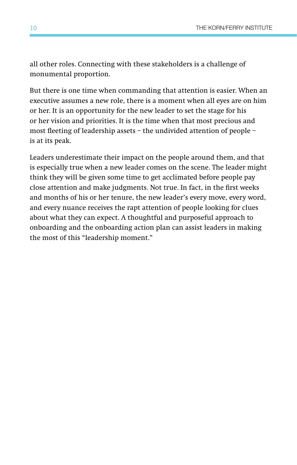all other roles. Connecting with these stakeholders is a challenge of monumental proportion.

But there is one time when commanding that attention is easier. When an executive assumes a new role, there is a moment when all eyes are on him or her. It is an opportunity for the new leader to set the stage for his or her vision and priorities. It is the time when that most precious and most fleeting of leadership assets – the undivided attention of people – is at its peak.

Leaders underestimate their impact on the people around them, and that is especially true when a new leader comes on the scene. The leader might think they will be given some time to get acclimated before people pay close attention and make judgments. Not true. In fact, in the first weeks and months of his or her tenure, the new leader's every move, every word, and every nuance receives the rapt attention of people looking for clues about what they can expect. A thoughtful and purposeful approach to onboarding and the onboarding action plan can assist leaders in making the most of this "leadership moment."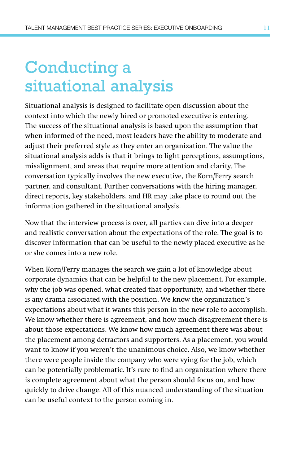# Conducting a situational analysis

Situational analysis is designed to facilitate open discussion about the context into which the newly hired or promoted executive is entering. The success of the situational analysis is based upon the assumption that when informed of the need, most leaders have the ability to moderate and adjust their preferred style as they enter an organization. The value the situational analysis adds is that it brings to light perceptions, assumptions, misalignment, and areas that require more attention and clarity. The conversation typically involves the new executive, the Korn/Ferry search partner, and consultant. Further conversations with the hiring manager, direct reports, key stakeholders, and HR may take place to round out the information gathered in the situational analysis.

Now that the interview process is over, all parties can dive into a deeper and realistic conversation about the expectations of the role. The goal is to discover information that can be useful to the newly placed executive as he or she comes into a new role.

When Korn/Ferry manages the search we gain a lot of knowledge about corporate dynamics that can be helpful to the new placement. For example, why the job was opened, what created that opportunity, and whether there is any drama associated with the position. We know the organization's expectations about what it wants this person in the new role to accomplish. We know whether there is agreement, and how much disagreement there is about those expectations. We know how much agreement there was about the placement among detractors and supporters. As a placement, you would want to know if you weren't the unanimous choice. Also, we know whether there were people inside the company who were vying for the job, which can be potentially problematic. It's rare to find an organization where there is complete agreement about what the person should focus on, and how quickly to drive change. All of this nuanced understanding of the situation can be useful context to the person coming in.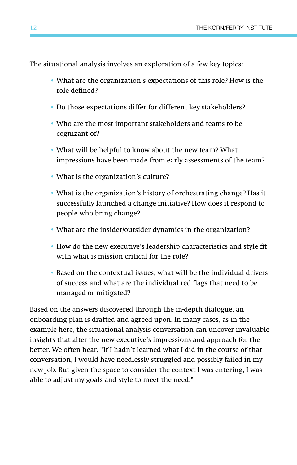The situational analysis involves an exploration of a few key topics:

- What are the organization's expectations of this role? How is the role defined?
- Do those expectations differ for different key stakeholders?
- Who are the most important stakeholders and teams to be cognizant of?
- What will be helpful to know about the new team? What impressions have been made from early assessments of the team?
- What is the organization's culture?
- What is the organization's history of orchestrating change? Has it successfully launched a change initiative? How does it respond to people who bring change?
- What are the insider/outsider dynamics in the organization?
- How do the new executive's leadership characteristics and style fit with what is mission critical for the role?
- Based on the contextual issues, what will be the individual drivers of success and what are the individual red flags that need to be managed or mitigated?

Based on the answers discovered through the in-depth dialogue, an onboarding plan is drafted and agreed upon. In many cases, as in the example here, the situational analysis conversation can uncover invaluable insights that alter the new executive's impressions and approach for the better. We often hear, "If I hadn't learned what I did in the course of that conversation, I would have needlessly struggled and possibly failed in my new job. But given the space to consider the context I was entering, I was able to adjust my goals and style to meet the need."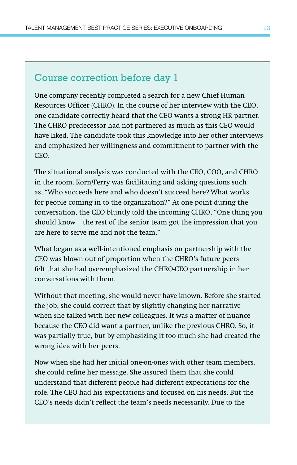#### Course correction before day 1

One company recently completed a search for a new Chief Human Resources Officer (CHRO). In the course of her interview with the CEO, one candidate correctly heard that the CEO wants a strong HR partner. The CHRO predecessor had not partnered as much as this CEO would have liked. The candidate took this knowledge into her other interviews and emphasized her willingness and commitment to partner with the CEO.

The situational analysis was conducted with the CEO, COO, and CHRO in the room. Korn/Ferry was facilitating and asking questions such as, "Who succeeds here and who doesn't succeed here? What works for people coming in to the organization?" At one point during the conversation, the CEO bluntly told the incoming CHRO, "One thing you should know – the rest of the senior team got the impression that you are here to serve me and not the team."

What began as a well-intentioned emphasis on partnership with the CEO was blown out of proportion when the CHRO's future peers felt that she had overemphasized the CHRO-CEO partnership in her conversations with them.

Without that meeting, she would never have known. Before she started the job, she could correct that by slightly changing her narrative when she talked with her new colleagues. It was a matter of nuance because the CEO did want a partner, unlike the previous CHRO. So, it was partially true, but by emphasizing it too much she had created the wrong idea with her peers.

Now when she had her initial one-on-ones with other team members, she could refine her message. She assured them that she could understand that different people had different expectations for the role. The CEO had his expectations and focused on his needs. But the CEO's needs didn't reflect the team's needs necessarily. Due to the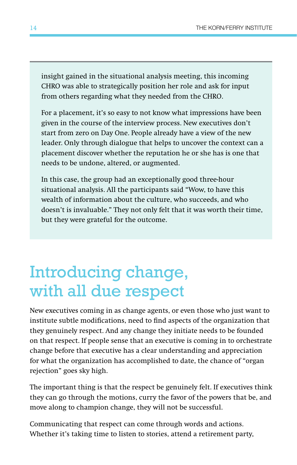insight gained in the situational analysis meeting, this incoming CHRO was able to strategically position her role and ask for input from others regarding what they needed from the CHRO.

For a placement, it's so easy to not know what impressions have been given in the course of the interview process. New executives don't start from zero on Day One. People already have a view of the new leader. Only through dialogue that helps to uncover the context can a placement discover whether the reputation he or she has is one that needs to be undone, altered, or augmented.

In this case, the group had an exceptionally good three-hour situational analysis. All the participants said "Wow, to have this wealth of information about the culture, who succeeds, and who doesn't is invaluable." They not only felt that it was worth their time, but they were grateful for the outcome.

### Introducing change, with all due respect

New executives coming in as change agents, or even those who just want to institute subtle modifications, need to find aspects of the organization that they genuinely respect. And any change they initiate needs to be founded on that respect. If people sense that an executive is coming in to orchestrate change before that executive has a clear understanding and appreciation for what the organization has accomplished to date, the chance of "organ rejection" goes sky high.

The important thing is that the respect be genuinely felt. If executives think they can go through the motions, curry the favor of the powers that be, and move along to champion change, they will not be successful.

Communicating that respect can come through words and actions. Whether it's taking time to listen to stories, attend a retirement party,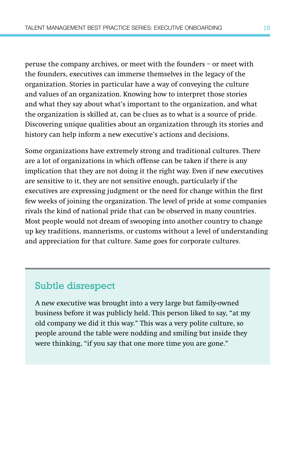peruse the company archives, or meet with the founders – or meet with the founders, executives can immerse themselves in the legacy of the organization. Stories in particular have a way of conveying the culture and values of an organization. Knowing how to interpret those stories and what they say about what's important to the organization, and what the organization is skilled at, can be clues as to what is a source of pride. Discovering unique qualities about an organization through its stories and history can help inform a new executive's actions and decisions.

Some organizations have extremely strong and traditional cultures. There are a lot of organizations in which offense can be taken if there is any implication that they are not doing it the right way. Even if new executives are sensitive to it, they are not sensitive enough, particularly if the executives are expressing judgment or the need for change within the first few weeks of joining the organization. The level of pride at some companies rivals the kind of national pride that can be observed in many countries. Most people would not dream of swooping into another country to change up key traditions, mannerisms, or customs without a level of understanding and appreciation for that culture. Same goes for corporate cultures.

#### Subtle disrespect

A new executive was brought into a very large but family-owned business before it was publicly held. This person liked to say, "at my old company we did it this way." This was a very polite culture, so people around the table were nodding and smiling but inside they were thinking, "if you say that one more time you are gone."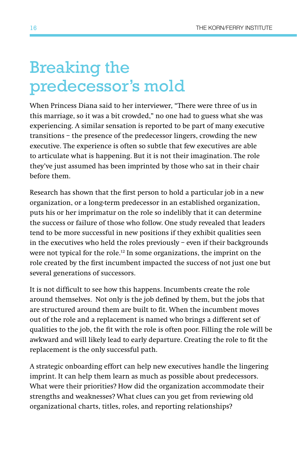### Breaking the predecessor's mold

When Princess Diana said to her interviewer, "There were three of us in this marriage, so it was a bit crowded," no one had to guess what she was experiencing. A similar sensation is reported to be part of many executive transitions – the presence of the predecessor lingers, crowding the new executive. The experience is often so subtle that few executives are able to articulate what is happening. But it is not their imagination. The role they've just assumed has been imprinted by those who sat in their chair before them.

Research has shown that the first person to hold a particular job in a new organization, or a long-term predecessor in an established organization, puts his or her imprimatur on the role so indelibly that it can determine the success or failure of those who follow. One study revealed that leaders tend to be more successful in new positions if they exhibit qualities seen in the executives who held the roles previously – even if their backgrounds were not typical for the role.12 In some organizations, the imprint on the role created by the first incumbent impacted the success of not just one but several generations of successors.

It is not difficult to see how this happens. Incumbents create the role around themselves. Not only is the job defined by them, but the jobs that are structured around them are built to fit. When the incumbent moves out of the role and a replacement is named who brings a different set of qualities to the job, the fit with the role is often poor. Filling the role will be awkward and will likely lead to early departure. Creating the role to fit the replacement is the only successful path.

A strategic onboarding effort can help new executives handle the lingering imprint. It can help them learn as much as possible about predecessors. What were their priorities? How did the organization accommodate their strengths and weaknesses? What clues can you get from reviewing old organizational charts, titles, roles, and reporting relationships?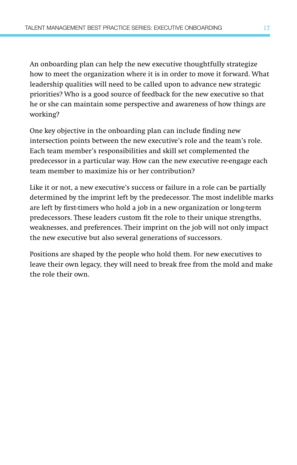An onboarding plan can help the new executive thoughtfully strategize how to meet the organization where it is in order to move it forward. What leadership qualities will need to be called upon to advance new strategic priorities? Who is a good source of feedback for the new executive so that he or she can maintain some perspective and awareness of how things are working?

One key objective in the onboarding plan can include finding new intersection points between the new executive's role and the team's role. Each team member's responsibilities and skill set complemented the predecessor in a particular way. How can the new executive re-engage each team member to maximize his or her contribution?

Like it or not, a new executive's success or failure in a role can be partially determined by the imprint left by the predecessor. The most indelible marks are left by first-timers who hold a job in a new organization or long-term predecessors. These leaders custom fit the role to their unique strengths, weaknesses, and preferences. Their imprint on the job will not only impact the new executive but also several generations of successors.

Positions are shaped by the people who hold them. For new executives to leave their own legacy, they will need to break free from the mold and make the role their own.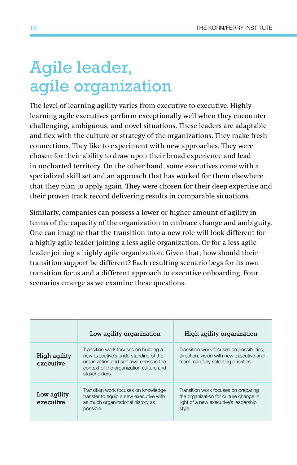## Agile leader, agile organization

The level of learning agility varies from executive to executive. Highly learning agile executives perform exceptionally well when they encounter challenging, ambiguous, and novel situations. These leaders are adaptable and flex with the culture or strategy of the organizations. They make fresh connections. They like to experiment with new approaches. They were chosen for their ability to draw upon their broad experience and lead in uncharted territory. On the other hand, some executives come with a specialized skill set and an approach that has worked for them elsewhere that they plan to apply again. They were chosen for their deep expertise and their proven track record delivering results in comparable situations.

Similarly, companies can possess a lower or higher amount of agility in terms of the capacity of the organization to embrace change and ambiguity. One can imagine that the transition into a new role will look different for a highly agile leader joining a less agile organization. Or for a less agile leader joining a highly agile organization. Given that, how should their transition support be different? Each resulting scenario begs for its own transition focus and a different approach to executive onboarding. Four scenarios emerge as we examine these questions.

|                           | Low agility organization                                                                                                                                                            | High agility organization                                                                                                         |
|---------------------------|-------------------------------------------------------------------------------------------------------------------------------------------------------------------------------------|-----------------------------------------------------------------------------------------------------------------------------------|
| High agility<br>executive | Transition work focuses on building a<br>new executive's understanding of the<br>organization and self-awareness in the<br>context of the organization culture and<br>stakeholders. | Transition work focuses on possibilities,<br>direction, vision with new executive and<br>team, carefully selecting priorities.    |
| Low agility<br>executive  | Transition work focuses on knowledge<br>transfer to equip a new executive with<br>as much organizational history as<br>possible.                                                    | Transition work focuses on preparing<br>the organization for culture change in<br>light of a new executive's leadership<br>style. |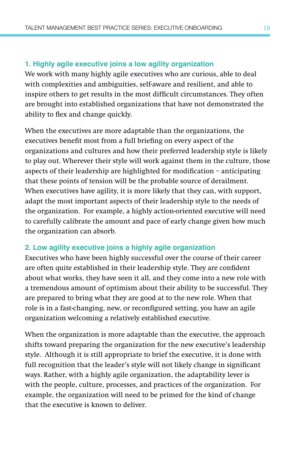#### **1. Highly agile executive joins a low agility organization**

We work with many highly agile executives who are curious, able to deal with complexities and ambiguities, self-aware and resilient, and able to inspire others to get results in the most difficult circumstances. They often are brought into established organizations that have not demonstrated the ability to flex and change quickly.

When the executives are more adaptable than the organizations, the executives benefit most from a full briefing on every aspect of the organizations and cultures and how their preferred leadership style is likely to play out. Wherever their style will work against them in the culture, those aspects of their leadership are highlighted for modification – anticipating that these points of tension will be the probable source of derailment. When executives have agility, it is more likely that they can, with support, adapt the most important aspects of their leadership style to the needs of the organization. For example, a highly action-oriented executive will need to carefully calibrate the amount and pace of early change given how much the organization can absorb.

#### **2. Low agility executive joins a highly agile organization**

Executives who have been highly successful over the course of their career are often quite established in their leadership style. They are confident about what works, they have seen it all, and they come into a new role with a tremendous amount of optimism about their ability to be successful. They are prepared to bring what they are good at to the new role. When that role is in a fast-changing, new, or reconfigured setting, you have an agile organization welcoming a relatively established executive.

When the organization is more adaptable than the executive, the approach shifts toward preparing the organization for the new executive's leadership style. Although it is still appropriate to brief the executive, it is done with full recognition that the leader's style will not likely change in significant ways. Rather, with a highly agile organization, the adaptability lever is with the people, culture, processes, and practices of the organization. For example, the organization will need to be primed for the kind of change that the executive is known to deliver.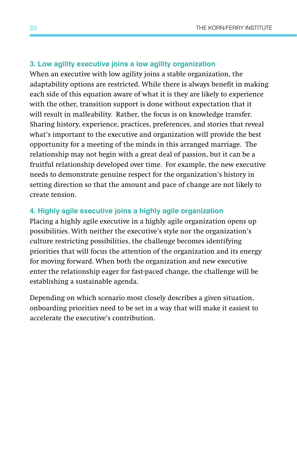#### **3. Low agility executive joins a low agility organization**

When an executive with low agility joins a stable organization, the adaptability options are restricted. While there is always benefit in making each side of this equation aware of what it is they are likely to experience with the other, transition support is done without expectation that it will result in malleability. Rather, the focus is on knowledge transfer. Sharing history, experience, practices, preferences, and stories that reveal what's important to the executive and organization will provide the best opportunity for a meeting of the minds in this arranged marriage. The relationship may not begin with a great deal of passion, but it can be a fruitful relationship developed over time. For example, the new executive needs to demonstrate genuine respect for the organization's history in setting direction so that the amount and pace of change are not likely to create tension.

#### **4. Highly agile executive joins a highly agile organization**

Placing a highly agile executive in a highly agile organization opens up possibilities. With neither the executive's style nor the organization's culture restricting possibilities, the challenge becomes identifying priorities that will focus the attention of the organization and its energy for moving forward. When both the organization and new executive enter the relationship eager for fast-paced change, the challenge will be establishing a sustainable agenda.

Depending on which scenario most closely describes a given situation, onboarding priorities need to be set in a way that will make it easiest to accelerate the executive's contribution.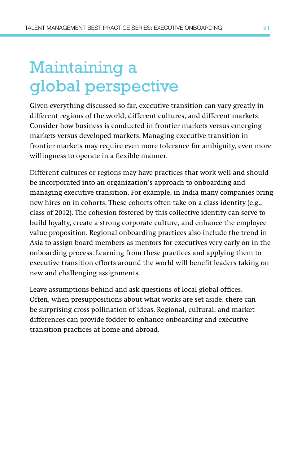# Maintaining a global perspective

Given everything discussed so far, executive transition can vary greatly in different regions of the world, different cultures, and different markets. Consider how business is conducted in frontier markets versus emerging markets versus developed markets. Managing executive transition in frontier markets may require even more tolerance for ambiguity, even more willingness to operate in a flexible manner.

Different cultures or regions may have practices that work well and should be incorporated into an organization's approach to onboarding and managing executive transition. For example, in India many companies bring new hires on in cohorts. These cohorts often take on a class identity (e.g., class of 2012). The cohesion fostered by this collective identity can serve to build loyalty, create a strong corporate culture, and enhance the employee value proposition. Regional onboarding practices also include the trend in Asia to assign board members as mentors for executives very early on in the onboarding process. Learning from these practices and applying them to executive transition efforts around the world will benefit leaders taking on new and challenging assignments.

Leave assumptions behind and ask questions of local global offices. Often, when presuppositions about what works are set aside, there can be surprising cross-pollination of ideas. Regional, cultural, and market differences can provide fodder to enhance onboarding and executive transition practices at home and abroad.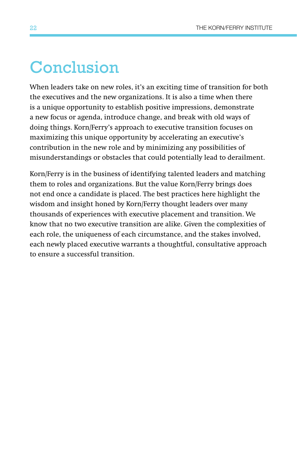### Conclusion

When leaders take on new roles, it's an exciting time of transition for both the executives and the new organizations. It is also a time when there is a unique opportunity to establish positive impressions, demonstrate a new focus or agenda, introduce change, and break with old ways of doing things. Korn/Ferry's approach to executive transition focuses on maximizing this unique opportunity by accelerating an executive's contribution in the new role and by minimizing any possibilities of misunderstandings or obstacles that could potentially lead to derailment.

Korn/Ferry is in the business of identifying talented leaders and matching them to roles and organizations. But the value Korn/Ferry brings does not end once a candidate is placed. The best practices here highlight the wisdom and insight honed by Korn/Ferry thought leaders over many thousands of experiences with executive placement and transition. We know that no two executive transition are alike. Given the complexities of each role, the uniqueness of each circumstance, and the stakes involved, each newly placed executive warrants a thoughtful, consultative approach to ensure a successful transition.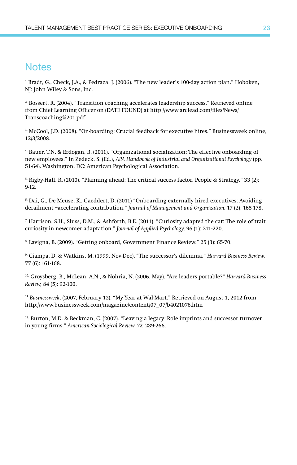#### **Notes**

1. Bradt, G., Check, J.A., & Pedraza, J. (2006). "The new leader's 100-day action plan." Hoboken, NJ: John Wiley & Sons, Inc.

2. Bossert, R. (2004). "Transition coaching accelerates leadership success." Retrieved online from Chief Learning Officer on (DATE FOUND) at http://www.arclead.com/files/News/ Transcoaching%201.pdf

3. McCool, J.D. (2008). "On-boarding: Crucial feedback for executive hires." Businessweek online, 12/3/2008.

4. Bauer, T.N. & Erdogan, B. (2011). "Organizational socialization: The effective onboarding of new employees." In Zedeck, S. (Ed.), *APA Handbook of Industrial and Organizational Psychology* (pp. 51-64). Washington, DC: American Psychological Association.

5. Rigby-Hall, R. (2010). "Planning ahead: The critical success factor, People & Strategy." 33 (2): 9-12.

6. Dai, G., De Meuse, K., Gaeddert, D. (2011) "Onboarding externally hired executives: Avoiding derailment –accelerating contribution." *Journal of Management and Organization.* 17 (2): 165-178.

7. Harrison, S.H., Sluss, D.M., & Ashforth, B.E. (2011). "Curiosity adapted the cat: The role of trait curiosity in newcomer adaptation." *Journal of Applied Psychology,* 96 (1): 211-220.

8. Lavigna, B. (2009). "Getting onboard, Government Finance Review." 25 (3): 65-70.

9. Ciampa, D. & Watkins, M. (1999, Nov-Dec). "The successor's dilemma." *Harvard Business Review,* 77 (6): 161-168.

10. Groysberg, B., McLean, A.N., & Nohria, N. (2006, May). "Are leaders portable?" *Harvard Business Review,* 84 (5): 92-100.

11. *Businessweek*. (2007, February 12). "My Year at Wal-Mart." Retrieved on August 1, 2012 from http://www.businessweek.com/magazine/content/07\_07/b4021076.htm

12. Burton, M.D. & Beckman, C. (2007). "Leaving a legacy: Role imprints and successor turnover in young firms." *American Sociological Review, 72,* 239-266.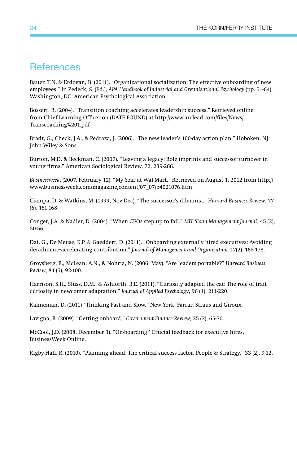#### **References**

Bauer, T.N. & Erdogan, B. (2011). "Organizational socialization: The effective onboarding of new employees." In Zedeck, S. (Ed.), *APA Handbook of Industrial and Organizational Psychology* (pp. 51-64). Washington, DC: American Psychological Association.

Bossert, R. (2004). "Transition coaching accelerates leadership success." Retrieved online from Chief Learning Officer on (DATE FOUND) at http://www.arclead.com/files/News/ Transcoaching%201.pdf

Bradt, G., Check, J.A., & Pedraza, J. (2006). "The new leader's 100-day action plan." Hoboken, NJ: John Wiley & Sons.

Burton, M.D. & Beckman, C. (2007). "Leaving a legacy: Role imprints and successor turnover in young firms." American Sociological Review, 72, 239-266.

*Businessweek*. (2007, February 12). "My Year at Wal-Mart." Retrieved on August 1, 2012 from http:// www.businessweek.com/magazine/content/07\_07/b4021076.htm

Ciampa, D. & Watkins, M. (1999, Nov-Dec). "The successor's dilemma." *Harvard Business Review*, 77 (6), 161-168.

Conger, J.A. & Nadler, D. (2004). "When CEOs step up to fail." *MIT Sloan Management Journal*, 45 (3), 50-56.

Dai, G., De Meuse, K.P. & Gaeddert, D. (2011). "Onboarding externally hired executives: Avoiding derailment–accelerating contribution." *Journal of Management and Organization,* 17(2), 165-178.

Groysberg, B., McLean, A.N., & Nohria, N. (2006, May). "Are leaders portable?" *Harvard Business Review*, 84 (5), 92-100.

Harrison, S.H., Sluss, D.M., & Ashforth, B.E. (2011). "Curiosity adapted the cat: The role of trait curiosity in newcomer adaptation." *Journal of Applied Psychology*, 96 (1), 211-220.

Kahneman, D. (2011) "Thinking Fast and Slow." New York: Farrar, Straus and Giroux.

Lavigna, B. (2009). "Getting onboard," *Government Finance Review*, 25 (3), 65-70.

McCool, J.D. (2008, December 3). "On-boarding:' Crucial feedback for executive hires, BusinessWeek Online.

Rigby-Hall, R. (2010). "Planning ahead: The critical success factor, People & Strategy," 33 (2), 9-12.